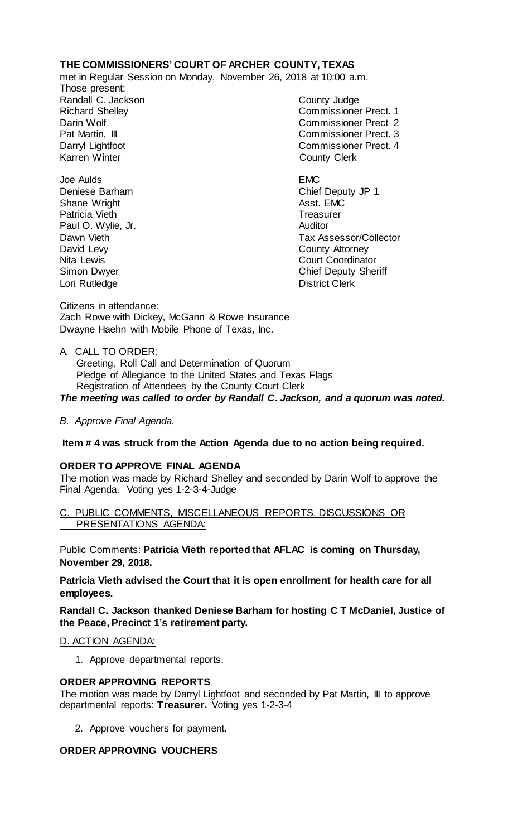# **THE COMMISSIONERS' COURT OF ARCHER COUNTY, TEXAS**

met in Regular Session on Monday, November 26, 2018 at 10:00 a.m.

Those present: Randall C. Jackson County Judge

Richard Shelley Commissioner Prect. 1 Darin Wolf Commissioner Prect 2 Pat Martin, III Commissioner Prect. 3 Darryl Lightfoot **Commissioner Prect. 4**<br>
Karren Winter **County County Clerk County Clerk** 

Joe Aulds EMC Deniese Barham Chief Deputy JP 1 Shane Wright **Asst.** EMC Patricia Vieth Treasurer Paul O. Wylie, Jr. **Auditor** Dawn Vieth **Dawn Vieth Collector** Countries and Tax Assessor/Collector David Levy Countries and Tax Assessor/Collector County Attorney Nita Lewis Court Coordinator Simon Dwyer Chief Deputy Sheriff Lori Rutledge **District Clerk** 

Citizens in attendance: Zach Rowe with Dickey, McGann & Rowe Insurance Dwayne Haehn with Mobile Phone of Texas, Inc.

### A. CALL TO ORDER:

 Greeting, Roll Call and Determination of Quorum Pledge of Allegiance to the United States and Texas Flags Registration of Attendees by the County Court Clerk *The meeting was called to order by Randall C. Jackson, and a quorum was noted.*

*B. Approve Final Agenda.*

**Item # 4 was struck from the Action Agenda due to no action being required.**

### **ORDER TO APPROVE FINAL AGENDA**

The motion was made by Richard Shelley and seconded by Darin Wolf to approve the Final Agenda. Voting yes 1-2-3-4-Judge

C. PUBLIC COMMENTS, MISCELLANEOUS REPORTS, DISCUSSIONS OR PRESENTATIONS AGENDA:

Public Comments: **Patricia Vieth reported that AFLAC is coming on Thursday, November 29, 2018.**

**Patricia Vieth advised the Court that it is open enrollment for health care for all employees.**

**Randall C. Jackson thanked Deniese Barham for hosting C T McDaniel, Justice of the Peace, Precinct 1's retirement party.**

### D. ACTION AGENDA:

1. Approve departmental reports.

### **ORDER APPROVING REPORTS**

The motion was made by Darryl Lightfoot and seconded by Pat Martin, III to approve departmental reports: **Treasurer.** Voting yes 1-2-3-4

2. Approve vouchers for payment.

### **ORDER APPROVING VOUCHERS**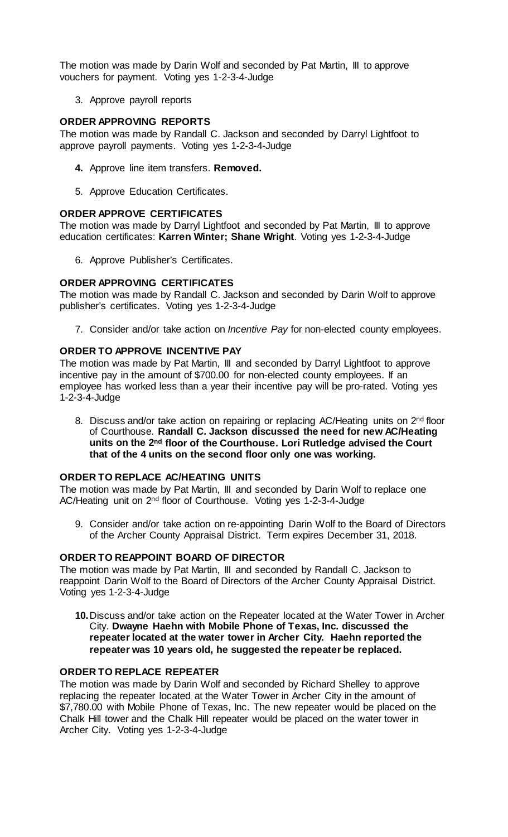The motion was made by Darin Wolf and seconded by Pat Martin, III to approve vouchers for payment. Voting yes 1-2-3-4-Judge

3. Approve payroll reports

## **ORDER APPROVING REPORTS**

The motion was made by Randall C. Jackson and seconded by Darryl Lightfoot to approve payroll payments. Voting yes 1-2-3-4-Judge

- **4.** Approve line item transfers. **Removed.**
- 5. Approve Education Certificates.

### **ORDER APPROVE CERTIFICATES**

The motion was made by Darryl Lightfoot and seconded by Pat Martin, III to approve education certificates: **Karren Winter; Shane Wright**. Voting yes 1-2-3-4-Judge

6. Approve Publisher's Certificates.

# **ORDER APPROVING CERTIFICATES**

The motion was made by Randall C. Jackson and seconded by Darin Wolf to approve publisher's certificates. Voting yes 1-2-3-4-Judge

7. Consider and/or take action on *Incentive Pay* for non-elected county employees.

### **ORDER TO APPROVE INCENTIVE PAY**

The motion was made by Pat Martin, III and seconded by Darryl Lightfoot to approve incentive pay in the amount of \$700.00 for non-elected county employees. If an employee has worked less than a year their incentive pay will be pro-rated. Voting yes 1-2-3-4-Judge

8. Discuss and/or take action on repairing or replacing AC/Heating units on 2<sup>nd</sup> floor of Courthouse. **Randall C. Jackson discussed the need for new AC/Heating units on the 2nd floor of the Courthouse. Lori Rutledge advised the Court that of the 4 units on the second floor only one was working.**

# **ORDER TO REPLACE AC/HEATING UNITS**

The motion was made by Pat Martin, III and seconded by Darin Wolf to replace one AC/Heating unit on 2nd floor of Courthouse. Voting yes 1-2-3-4-Judge

9. Consider and/or take action on re-appointing Darin Wolf to the Board of Directors of the Archer County Appraisal District. Term expires December 31, 2018.

# **ORDER TO REAPPOINT BOARD OF DIRECTOR**

The motion was made by Pat Martin, III and seconded by Randall C. Jackson to reappoint Darin Wolf to the Board of Directors of the Archer County Appraisal District. Voting yes 1-2-3-4-Judge

**10.**Discuss and/or take action on the Repeater located at the Water Tower in Archer City. **Dwayne Haehn with Mobile Phone of Texas, Inc. discussed the repeater located at the water tower in Archer City. Haehn reported the repeater was 10 years old, he suggested the repeater be replaced.** 

### **ORDER TO REPLACE REPEATER**

The motion was made by Darin Wolf and seconded by Richard Shelley to approve replacing the repeater located at the Water Tower in Archer City in the amount of \$7,780.00 with Mobile Phone of Texas, Inc. The new repeater would be placed on the Chalk Hill tower and the Chalk Hill repeater would be placed on the water tower in Archer City. Voting yes 1-2-3-4-Judge